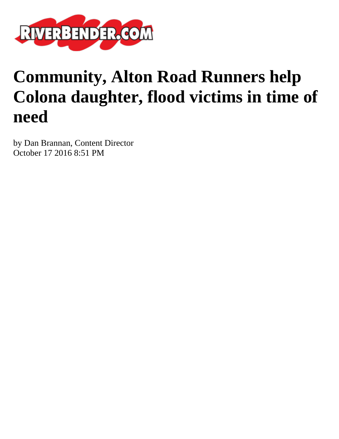

## **Community, Alton Road Runners help Colona daughter, flood victims in time of need**

by Dan Brannan, Content Director October 17 2016 8:51 PM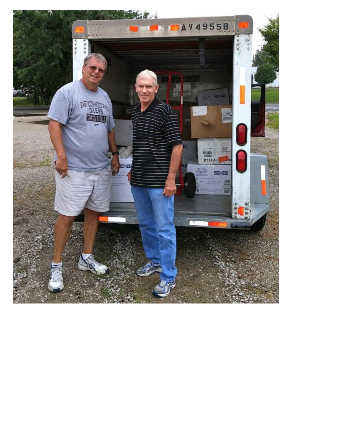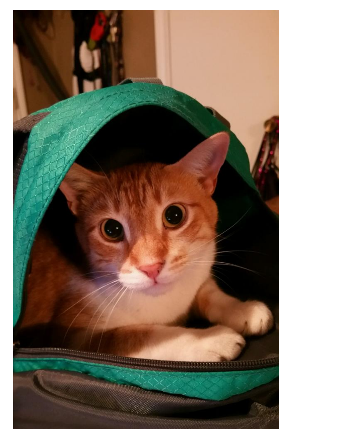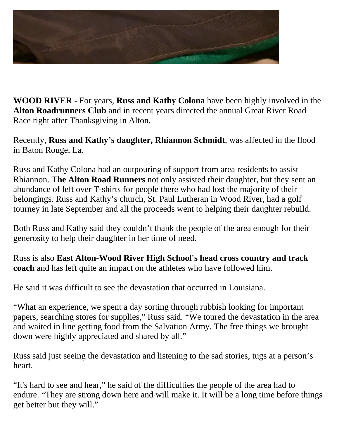

**WOOD RIVER** - For years, **Russ and Kathy Colona** have been highly involved in the **Alton Roadrunners Club** and in recent years directed the annual Great River Road Race right after Thanksgiving in Alton.

Recently, **Russ and Kathy's daughter, Rhiannon Schmidt**, was affected in the flood in Baton Rouge, La.

Russ and Kathy Colona had an outpouring of support from area residents to assist Rhiannon. **The Alton Road Runners** not only assisted their daughter, but they sent an abundance of left over T-shirts for people there who had lost the majority of their belongings. Russ and Kathy's church, St. Paul Lutheran in Wood River, had a golf tourney in late September and all the proceeds went to helping their daughter rebuild.

Both Russ and Kathy said they couldn't thank the people of the area enough for their generosity to help their daughter in her time of need.

Russ is also **East Alton-Wood River High School's head cross country and track coach** and has left quite an impact on the athletes who have followed him.

He said it was difficult to see the devastation that occurred in Louisiana.

"What an experience, we spent a day sorting through rubbish looking for important papers, searching stores for supplies," Russ said. "We toured the devastation in the area and waited in line getting food from the Salvation Army. The free things we brought down were highly appreciated and shared by all."

Russ said just seeing the devastation and listening to the sad stories, tugs at a person's heart.

"It's hard to see and hear," he said of the difficulties the people of the area had to endure. "They are strong down here and will make it. It will be a long time before things get better but they will."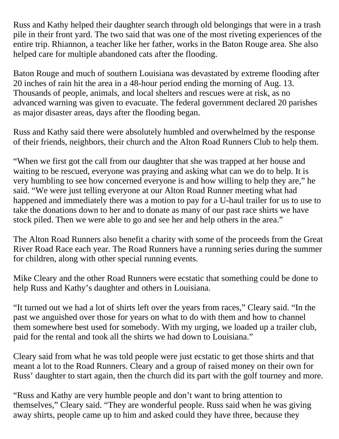Russ and Kathy helped their daughter search through old belongings that were in a trash pile in their front yard. The two said that was one of the most riveting experiences of the entire trip. Rhiannon, a teacher like her father, works in the Baton Rouge area. She also helped care for multiple abandoned cats after the flooding.

Baton Rouge and much of southern Louisiana was devastated by extreme flooding after 20 inches of rain hit the area in a 48-hour period ending the morning of Aug. 13. Thousands of people, animals, and local shelters and rescues were at risk, as no advanced warning was given to evacuate. The federal government declared 20 parishes as major disaster areas, days after the flooding began.

Russ and Kathy said there were absolutely humbled and overwhelmed by the response of their friends, neighbors, their church and the Alton Road Runners Club to help them.

"When we first got the call from our daughter that she was trapped at her house and waiting to be rescued, everyone was praying and asking what can we do to help. It is very humbling to see how concerned everyone is and how willing to help they are," he said. "We were just telling everyone at our Alton Road Runner meeting what had happened and immediately there was a motion to pay for a U-haul trailer for us to use to take the donations down to her and to donate as many of our past race shirts we have stock piled. Then we were able to go and see her and help others in the area."

The Alton Road Runners also benefit a charity with some of the proceeds from the Great River Road Race each year. The Road Runners have a running series during the summer for children, along with other special running events.

Mike Cleary and the other Road Runners were ecstatic that something could be done to help Russ and Kathy's daughter and others in Louisiana.

"It turned out we had a lot of shirts left over the years from races," Cleary said. "In the past we anguished over those for years on what to do with them and how to channel them somewhere best used for somebody. With my urging, we loaded up a trailer club, paid for the rental and took all the shirts we had down to Louisiana."

Cleary said from what he was told people were just ecstatic to get those shirts and that meant a lot to the Road Runners. Cleary and a group of raised money on their own for Russ' daughter to start again, then the church did its part with the golf tourney and more.

"Russ and Kathy are very humble people and don't want to bring attention to themselves," Cleary said. "They are wonderful people. Russ said when he was giving away shirts, people came up to him and asked could they have three, because they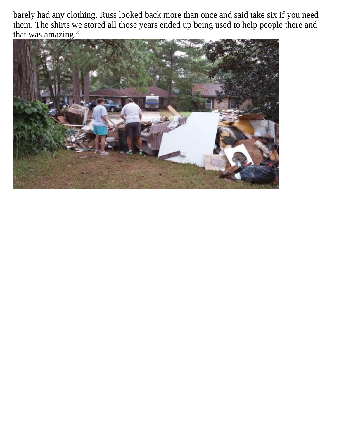barely had any clothing. Russ looked back more than once and said take six if you need them. The shirts we stored all those years ended up being used to help people there and that was amazing."